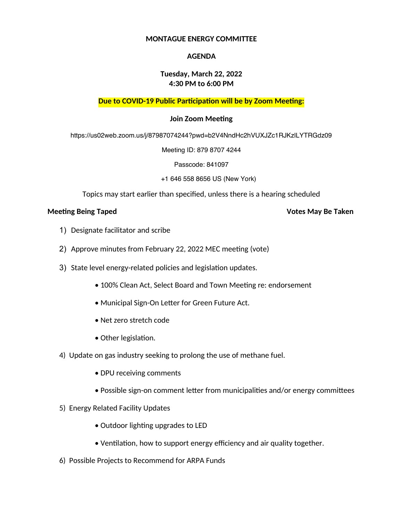## **MONTAGUE ENERGY COMMITTEE**

## **AGENDA**

## **Tuesday, March 22, 2022 4:30 PM to 6:00 PM**

# **Due to COVID-19 Public Participation will be by Zoom Meeting:**

## **Join Zoom Meeting**

https://us02web.zoom.us/j/87987074244?pwd=b2V4NndHc2hVUXJZc1RJKzlLYTRGdz09

Meeting ID: 879 8707 4244

Passcode: 841097

+1 646 558 8656 US (New York)

Topics may start earlier than specified, unless there is a hearing scheduled

### **Meeting Being Taped Votes May Be Taken**

- 1) Designate facilitator and scribe
- 2) Approve minutes from February 22, 2022 MEC meeting (vote)
- 3) State level energy-related policies and legislation updates.
	- 100% Clean Act, Select Board and Town Meeting re: endorsement
	- Municipal Sign-On Letter for Green Future Act.
	- Net zero stretch code
	- Other legislation.
- 4) Update on gas industry seeking to prolong the use of methane fuel.
	- DPU receiving comments
	- Possible sign-on comment letter from municipalities and/or energy committees
- 5) Energy Related Facility Updates
	- Outdoor lighting upgrades to LED
	- Ventilation, how to support energy efficiency and air quality together.
- 6) Possible Projects to Recommend for ARPA Funds